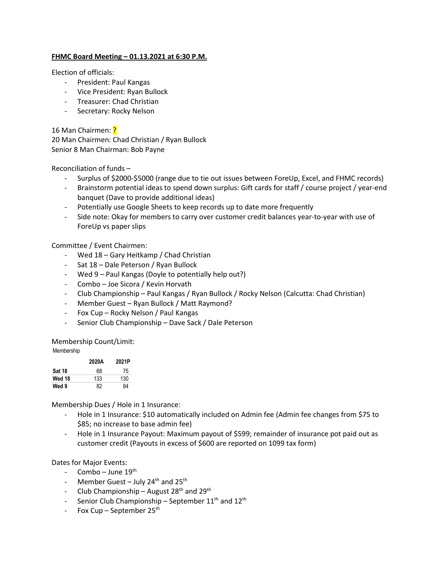## **FHMC Board Meeting – 01.13.2021 at 6:30 P.M.**

Election of officials:

- President: Paul Kangas
- Vice President: Ryan Bullock
- Treasurer: Chad Christian
- Secretary: Rocky Nelson

16 Man Chairmen: ?

20 Man Chairmen: Chad Christian / Ryan Bullock Senior 8 Man Chairman: Bob Payne

Reconciliation of funds –

- Surplus of \$2000-\$5000 (range due to tie out issues between ForeUp, Excel, and FHMC records)
- Brainstorm potential ideas to spend down surplus: Gift cards for staff / course project / year-end banquet (Dave to provide additional ideas)
- Potentially use Google Sheets to keep records up to date more frequently
- Side note: Okay for members to carry over customer credit balances year-to-year with use of ForeUp vs paper slips

## Committee / Event Chairmen:

- Wed 18 Gary Heitkamp / Chad Christian
- Sat 18 Dale Peterson / Ryan Bullock
- Wed 9 Paul Kangas (Doyle to potentially help out?)
- Combo Joe Sicora / Kevin Horvath
- Club Championship Paul Kangas / Ryan Bullock / Rocky Nelson (Calcutta: Chad Christian)
- Member Guest Ryan Bullock / Matt Raymond?
- Fox Cup Rocky Nelson / Paul Kangas
- Senior Club Championship Dave Sack / Dale Peterson

Membership Count/Limit: Membership

|               | 2020A | 2021P |
|---------------|-------|-------|
| <b>Sat 18</b> | 68    | 75    |
| Wed 18        | 133   | 130   |
| Wed 9         | 82    | 84    |

Membership Dues / Hole in 1 Insurance:

- Hole in 1 Insurance: \$10 automatically included on Admin fee (Admin fee changes from \$75 to \$85; no increase to base admin fee)
- Hole in 1 Insurance Payout: Maximum payout of \$599; remainder of insurance pot paid out as customer credit (Payouts in excess of \$600 are reported on 1099 tax form)

Dates for Major Events:

- Combo June  $19<sup>th</sup>$
- Member Guest July 24<sup>th</sup> and 25<sup>th</sup>
- Club Championship August  $28<sup>th</sup>$  and  $29<sup>th</sup>$
- Senior Club Championship September 11<sup>th</sup> and 12<sup>th</sup>
- Fox Cup September 25<sup>th</sup>